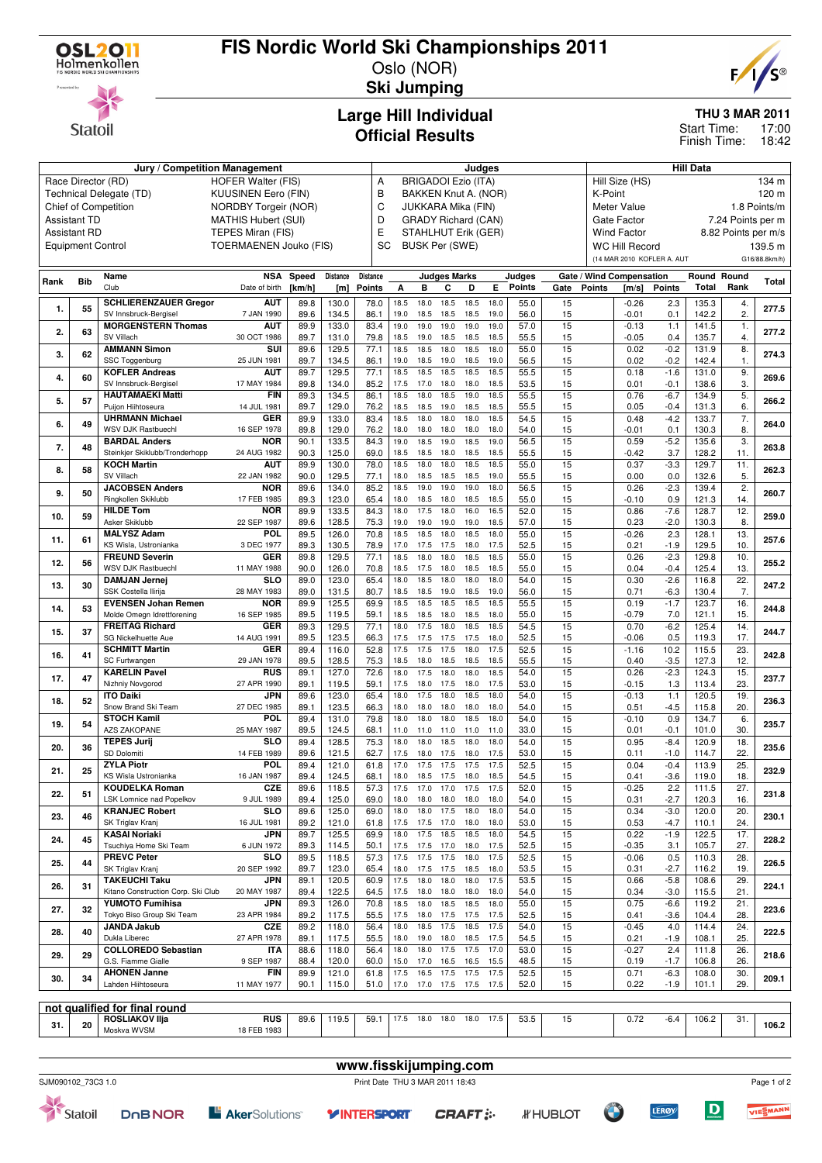

**Statoil** 

# **FIS Nordic World Ski Championships 2011**

Oslo (NOR) **Ski Jumping**



**THU 3 MAR 2011**

17:00 18:42 Start Time: Finish Time:

#### **Large Hill Individual Official Results**

| Jury / Competition Management |                          |                                    |                               |        |          |          | Judges<br><b>BRIGADOI Ezio (ITA)</b> |                            |                     |           |      |        | Hill Data |               |                            |        |              |                     |               |
|-------------------------------|--------------------------|------------------------------------|-------------------------------|--------|----------|----------|--------------------------------------|----------------------------|---------------------|-----------|------|--------|-----------|---------------|----------------------------|--------|--------------|---------------------|---------------|
|                               |                          | Race Director (RD)                 | HOFER Walter (FIS)            |        |          | Α        |                                      |                            |                     |           |      |        |           |               | Hill Size (HS)             |        |              |                     | 134 m         |
|                               |                          | Technical Delegate (TD)            | <b>KUUSINEN Eero (FIN)</b>    |        |          | B        |                                      | BAKKEN Knut A. (NOR)       |                     |           |      |        |           | K-Point       |                            |        |              |                     | 120 m         |
|                               |                          | Chief of Competition               | <b>NORDBY Torgeir (NOR)</b>   |        |          | C        |                                      | JUKKARA Mika (FIN)         |                     |           |      |        |           |               | Meter Value                |        |              |                     | 1.8 Points/m  |
|                               | <b>Assistant TD</b>      |                                    | <b>MATHIS Hubert (SUI)</b>    |        |          | D        |                                      | <b>GRADY Richard (CAN)</b> |                     |           |      |        |           |               | Gate Factor                |        |              | 7.24 Points per m   |               |
|                               |                          |                                    |                               |        |          |          |                                      |                            |                     |           |      |        |           |               |                            |        |              |                     |               |
|                               | <b>Assistant RD</b>      |                                    | TEPES Miran (FIS)             |        |          | Ε        |                                      | <b>STAHLHUT Erik (GER)</b> |                     |           |      |        |           |               | <b>Wind Factor</b>         |        |              | 8.82 Points per m/s |               |
|                               | <b>Equipment Control</b> |                                    | <b>TOERMAENEN Jouko (FIS)</b> |        |          | SC       |                                      | <b>BUSK Per (SWE)</b>      |                     |           |      |        |           |               | <b>WC Hill Record</b>      |        |              |                     | 139.5 m       |
|                               |                          |                                    |                               |        |          |          |                                      |                            |                     |           |      |        |           |               | (14 MAR 2010 KOFLER A. AUT |        |              |                     | G16/88.8km/h) |
|                               |                          | Name                               | <b>NSA</b>                    | Speed  | Distance | Distance |                                      |                            | <b>Judges Marks</b> |           |      | Judges |           |               | Gate / Wind Compensation   |        | Round Round  |                     |               |
| Rank                          | <b>Bib</b>               | Club                               | Date of birth                 | [km/h] | [m]      | Points   | А                                    | в                          | С                   | D         | Е    | Points | Gate      | <b>Points</b> | [m/s]                      | Points | <b>Total</b> | Rank                | <b>Total</b>  |
|                               |                          |                                    |                               |        |          |          |                                      |                            |                     |           |      |        |           |               |                            |        |              |                     |               |
| 1.                            | 55                       | <b>SCHLIERENZAUER Gregor</b>       | <b>AUT</b>                    | 89.8   | 130.0    | 78.0     | 18.5                                 | 18.0                       | 18.5                | 18.5      | 18.0 | 55.0   | 15        |               | $-0.26$                    | 2.3    | 135.3        | 4.                  | 277.5         |
|                               |                          | SV Innsbruck-Bergisel              | 7 JAN 1990                    | 89.6   | 134.5    | 86.1     | 19.0                                 | 18.5                       | 18.5                | 18.5      | 19.0 | 56.0   | 15        |               | $-0.01$                    | 0.1    | 142.2        | 2.                  |               |
| 2.                            | 63                       | <b>MORGENSTERN Thomas</b>          | <b>AUT</b>                    | 89.9   | 133.0    | 83.4     | 19.0                                 | 19.0                       | 19.0                | 19.0      | 19.0 | 57.0   | 15        |               | $-0.13$                    | 1.1    | 141.5        | $\overline{1}$ .    | 277.2         |
|                               |                          | SV Villach                         | 30 OCT 1986                   | 89.7   | 131.0    | 79.8     | 18.5                                 | 19.0                       | 18.5                | 18.5      | 18.5 | 55.5   | 15        |               | $-0.05$                    | 0.4    | 135.7        | 4.                  |               |
| 3.                            | 62                       | <b>AMMANN Simon</b>                | SUI                           | 89.6   | 129.5    | 77.1     | 18.5                                 | 18.5                       | 18.0                | 18.5      | 18.0 | 55.0   | 15        |               | 0.02                       | $-0.2$ | 131.9        | 8.                  | 274.3         |
|                               |                          | <b>SSC Toggenburg</b>              | 25 JUN 1981                   | 89.7   | 134.5    | 86.1     | 19.0                                 | 18.5                       | 19.0                | 18.5      | 19.0 | 56.5   | 15        |               | 0.02                       | $-0.2$ | 142.4        | 1.                  |               |
| 4.                            | 60                       | <b>KOFLER Andreas</b>              | <b>AUT</b>                    | 89.7   | 129.5    | 77.1     | 18.5                                 | 18.5                       | 18.5                | 18.5      | 18.5 | 55.5   | 15        |               | 0.18                       | $-1.6$ | 131.0        | 9.                  | 269.6         |
|                               |                          | SV Innsbruck-Bergisel              | 17 MAY 1984                   | 89.8   | 134.0    | 85.2     | 17.5                                 | 17.0                       | 18.0                | 18.0      | 18.5 | 53.5   | 15        |               | 0.01                       | $-0.1$ | 138.6        | 3.                  |               |
| 5.                            | 57                       | <b>HAUTAMAEKI Matti</b>            | <b>FIN</b>                    | 89.3   | 134.5    | 86.1     | 18.5                                 | 18.0                       | 18.5                | 19.0      | 18.5 | 55.5   | 15        |               | 0.76                       | $-6.7$ | 134.9        | 5.                  | 266.2         |
|                               |                          | Puijon Hiihtoseura                 | 14 JUL 1981                   | 89.7   | 129.0    | 76.2     | 18.5                                 | 18.5                       | 19.0                | 18.5      | 18.5 | 55.5   | 15        |               | 0.05                       | $-0.4$ | 131.3        | 6.                  |               |
| 6.                            | 49                       | <b>UHRMANN Michael</b>             | GER                           | 89.9   | 133.0    | 83.4     | 18.5                                 | 18.0                       | 18.0                | 18.0      | 18.5 | 54.5   | 15        |               | 0.48                       | $-4.2$ | 133.7        | 7.                  | 264.0         |
|                               |                          | <b>WSV DJK Rastbuechl</b>          | 16 SEP 1978                   | 89.8   | 129.0    | 76.2     | 18.0                                 | 18.0                       | 18.0                | 18.0      | 18.0 | 54.0   | 15        |               | $-0.01$                    | 0.1    | 130.3        | 8.                  |               |
| 7.                            | 48                       | <b>BARDAL Anders</b>               | <b>NOR</b>                    | 90.1   | 133.5    | 84.3     | 19.0                                 | 18.5                       | 19.0                | 18.5      | 19.0 | 56.5   | 15        |               | 0.59                       | $-5.2$ | 135.6        | $\overline{3}$      | 263.8         |
|                               |                          | Steinkjer Skiklubb/Tronderhopp     | 24 AUG 1982                   | 90.3   | 125.0    | 69.0     | 18.5                                 | 18.5                       | 18.0                | 18.5      | 18.5 | 55.5   | 15        |               | $-0.42$                    | 3.7    | 128.2        | 11.                 |               |
| 8.                            | 58                       | <b>KOCH Martin</b>                 | <b>AUT</b>                    | 89.9   | 130.0    | 78.0     | 18.5                                 | 18.0                       | 18.0                | 18.5      | 18.5 | 55.0   | 15        |               | 0.37                       | $-3.3$ | 129.7        | 11.                 | 262.3         |
|                               |                          | SV Villach                         | 22 JAN 1982                   | 90.0   | 129.5    | 77.1     | 18.0                                 | 18.5                       | 18.5                | 18.5      | 19.0 | 55.5   | 15        |               | 0.00                       | 0.0    | 132.6        | 5.                  |               |
| 9.                            | 50                       | <b>JACOBSEN Anders</b>             | <b>NOR</b>                    | 89.6   | 134.0    | 85.2     | 18.5                                 | 19.0                       | 19.0                | 19.0      | 18.0 | 56.5   | 15        |               | 0.26                       | $-2.3$ | 139.4        | $\overline{2}$      | 260.7         |
|                               |                          | Ringkollen Skiklubb                | 17 FEB 1985                   | 89.3   | 123.0    | 65.4     | 18.0                                 | 18.5                       | 18.0                | 18.5      | 18.5 | 55.0   | 15        |               | $-0.10$                    | 0.9    | 121.3        | 14.                 |               |
| 10.                           | 59                       | <b>HILDE Tom</b>                   | <b>NOR</b>                    | 89.9   | 133.5    | 84.3     | 18.0                                 | 17.5                       | 18.0                | 16.0      | 16.5 | 52.0   | 15        |               | 0.86                       | $-7.6$ | 128.7        | 12.                 | 259.0         |
|                               |                          | Asker Skiklubb                     | 22 SEP 1987                   | 89.6   | 128.5    | 75.3     | 19.0                                 | 19.0                       | 19.0                | 19.0      | 18.5 | 57.0   | 15        |               | 0.23                       | $-2.0$ | 130.3        | 8.                  |               |
| 11.                           | 61                       | <b>MALYSZ Adam</b>                 | <b>POL</b>                    | 89.5   | 126.0    | 70.8     | 18.5                                 | 18.5                       | 18.0                | 18.5      | 18.0 | 55.0   | 15        |               | $-0.26$                    | 2.3    | 128.1        | 13.                 | 257.6         |
|                               |                          | KS Wisla, Ustronianka              | 3 DEC 1977                    | 89.3   | 130.5    | 78.9     | 17.0                                 | 17.5                       | 17.5                | 18.0      | 17.5 | 52.5   | 15        |               | 0.21                       | $-1.9$ | 129.5        | 10.                 |               |
| 12.                           | 56                       | <b>FREUND Severin</b>              | <b>GER</b>                    | 89.8   | 129.5    | 77.1     | 18.5                                 | 18.0                       | 18.0                | 18.5      | 18.5 | 55.0   | 15        |               | 0.26                       | $-2.3$ | 129.8        | 10.                 | 255.2         |
|                               |                          | <b>WSV DJK Rastbuechl</b>          | 11 MAY 1988                   | 90.0   | 126.0    | 70.8     | 18.5                                 | 17.5                       | 18.0                | 18.5      | 18.5 | 55.0   | 15        |               | 0.04                       | $-0.4$ | 125.4        | 13.                 |               |
| 13.                           | 30                       | <b>DAMJAN Jernej</b>               | SLO                           | 89.0   | 123.0    | 65.4     | 18.0                                 | 18.5                       | 18.0                | 18.0      | 18.0 | 54.0   | 15        |               | 0.30                       | $-2.6$ | 116.8        | 22.                 | 247.2         |
|                               |                          | <b>SSK Costella Ilirija</b>        | 28 MAY 1983                   | 89.0   | 131.5    | 80.7     | 18.5                                 | 18.5                       | 19.0                | 18.5      | 19.0 | 56.0   | 15        |               | 0.71                       | $-6.3$ | 130.4        | 7.                  |               |
| 14.                           | 53                       | <b>EVENSEN Johan Remen</b>         | <b>NOR</b>                    | 89.9   | 125.5    | 69.9     | 18.5                                 | 18.5                       | 18.5                | 18.5      | 18.5 | 55.5   | 15        |               | 0.19                       | $-1.7$ | 123.7        | 16.                 | 244.8         |
|                               |                          | Molde Omegn Idrettforening         | 16 SEP 1985                   | 89.5   | 119.5    | 59.1     | 18.5                                 | 18.5                       | 18.0                | 18.5      | 18.0 | 55.0   | 15        |               | $-0.79$                    | 7.0    | 121.1        | 15.                 |               |
| 15.                           | 37                       | <b>FREITAG Richard</b>             | <b>GER</b>                    | 89.3   | 129.5    | 77.1     | 18.0                                 | 17.5                       | 18.0                | 18.5      | 18.5 | 54.5   | 15        |               | 0.70                       | $-6.2$ | 125.4        | 14.                 | 244.7         |
|                               |                          | SG Nickelhuette Aue                | 14 AUG 1991                   | 89.5   | 123.5    | 66.3     | 17.5                                 | 17.5                       | 17.5                | 17.5      | 18.0 | 52.5   | 15        |               | $-0.06$                    | 0.5    | 119.3        | 17.                 |               |
| 16.                           | 41                       | <b>SCHMITT Martin</b>              | GER                           | 89.4   | 116.0    | 52.8     | 17.5                                 | 17.5                       | 17.5                | 18.0      | 17.5 | 52.5   | 15        |               | $-1.16$                    | 10.2   | 115.5        | 23.                 | 242.8         |
|                               |                          | SC Furtwangen                      | 29 JAN 1978                   | 89.5   | 128.5    | 75.3     | 18.5                                 | 18.0                       | 18.5                | 18.5      | 18.5 | 55.5   | 15        |               | 0.40                       | $-3.5$ | 127.3        | 12.                 |               |
| 17.                           | 47                       | <b>KARELIN Pavel</b>               | <b>RUS</b>                    | 89.1   | 127.0    | 72.6     | 18.0                                 | 17.5                       | 18.0                | 18.0      | 18.5 | 54.0   | 15        |               | 0.26                       | $-2.3$ | 124.3        | 15.                 | 237.7         |
|                               |                          | Nizhniy Novgorod                   | 27 APR 1990                   | 89.1   | 119.5    | 59.1     | 17.5                                 | 18.0                       | 17.5                | 18.0      | 17.5 | 53.0   | 15        |               | $-0.15$                    | 1.3    | 113.4        | 23.                 |               |
| 18.                           | 52                       | <b>ITO Daiki</b>                   | JPN                           | 89.6   | 123.0    | 65.4     | 18.0                                 | 17.5                       | 18.0                | 18.5      | 18.0 | 54.0   | 15        |               | $-0.13$                    | 1.1    | 120.5        | 19.                 | 236.3         |
|                               |                          | Snow Brand Ski Team                | 27 DEC 1985                   | 89.1   | 123.5    | 66.3     | 18.0                                 | 18.0                       | 18.0                | 18.0      | 18.0 | 54.0   | 15        |               | 0.51                       | $-4.5$ | 115.8        | 20.                 |               |
| 19.                           | 54                       | <b>STOCH Kamil</b>                 | POL                           | 89.4   | 131.0    | 79.8     | 18.0                                 | 18.0                       | 18.0                | 18.5      | 18.0 | 54.0   | 15        |               | $-0.10$                    | 0.9    | 134.7        | 6.                  | 235.7         |
|                               |                          | <b>AZS ZAKOPANE</b>                | 25 MAY 1987                   | 89.5   | 124.5    | 68.1     | 11.0                                 | 11.0                       | 11.0                | 11.0      | 11.0 | 33.0   | 15        |               | 0.01                       | $-0.1$ | 101.0        | 30.                 |               |
| 20.                           | 36                       | <b>TEPES Jurij</b>                 | SLO                           | 89.4   | 128.5    | 75.3     | 18.0                                 | 18.0                       | 18.5                | 18.0      | 18.0 | 54.0   | 15        |               | 0.95                       | $-8.4$ | 120.9        | 18.                 | 235.6         |
|                               |                          | SD Dolomiti                        | 14 FEB 1989                   | 89.6   | 121.5    | 62.7     | 17.5                                 | 18.0                       | 17.5                | 18.0      | 17.5 | 53.0   | 15        |               | 0.11                       | $-1.0$ | 114.7        | 22.                 |               |
| 21.                           | 25                       | <b>ZYLA Piotr</b>                  | <b>POL</b>                    | 89.4   | 121.0    | 61.8     | 17.0                                 | 17.5                       | 17.5                | 17.5      | 17.5 | 52.5   | 15        |               | 0.04                       | $-0.4$ | 113.9        | 25.                 | 232.9         |
|                               |                          | KS Wisla Ustronianka               | 16 JAN 1987                   | 89.4   | 124.5    | 68.1     | 18.0                                 | 18.5                       | 17.5                | 18.0      | 18.5 | 54.5   | 15        |               | 0.41                       | $-3.6$ | 119.0        | 18.                 |               |
| 22.                           | 51                       | KOUDELKA Roman                     | CZE                           | 89.6   | 118.5    | 57.3     | 17.5                                 | 17.0                       | 17.0                | 17.5      | 17.5 | 52.0   | 15        |               | -0.25                      | 2.2    | 111.5        | 27.                 | 231.8         |
|                               |                          | LSK Lomnice nad Popelkov           | 9 JUL 1989                    | 89.4   | 125.0    | 69.0     | 18.0                                 | 18.0 18.0                  |                     | 18.0      | 18.0 | 54.0   | 15        |               | 0.31                       | $-2.7$ | 120.3        | 16.                 |               |
| 23.                           | 46                       | <b>KRANJEC Robert</b>              | SLO                           | 89.6   | 125.0    | 69.0     | 18.0                                 | 18.0                       | 17.5                | 18.0      | 18.0 | 54.0   | 15        |               | 0.34                       | $-3.0$ | 120.0        | 20.                 | 230.1         |
|                               |                          | SK Triglav Kranj                   | 16 JUL 1981                   | 89.2   | 121.0    | 61.8     | 17.5                                 | 17.5 17.0                  |                     | 18.0      | 18.0 | 53.0   | 15        |               | 0.53                       | $-4.7$ | 110.1        | 24.                 |               |
| 24.                           | 45                       | <b>KASAI Noriaki</b>               | <b>JPN</b>                    | 89.7   | 125.5    | 69.9     | 18.0                                 | 17.5                       | 18.5                | 18.5      | 18.0 | 54.5   | 15        |               | 0.22                       | $-1.9$ | 122.5        | 17.                 | 228.2         |
|                               |                          | Tsuchiya Home Ski Team             | 6 JUN 1972                    | 89.3   | 114.5    | 50.1     | 17.5                                 | 17.5 17.0                  |                     | 18.0      | 17.5 | 52.5   | 15        |               | $-0.35$                    | 3.1    | 105.7        | 27.                 |               |
| 25.                           | 44                       | <b>PREVC Peter</b>                 | SLO                           | 89.5   | 118.5    | 57.3     | 17.5                                 | 17.5                       | 17.5                | 18.0      | 17.5 | 52.5   | 15        |               | $-0.06$                    | 0.5    | 110.3        | 28.                 | 226.5         |
|                               |                          | SK Triglav Kranj                   | 20 SEP 1992                   | 89.7   | 123.0    | 65.4     | 18.0                                 | 17.5                       | 17.5                | 18.5      | 18.0 | 53.5   | 15        |               | 0.31                       | $-2.7$ | 116.2        | 19.                 |               |
| 26.                           | 31                       | <b>TAKEUCHI Taku</b>               | JPN                           | 89.1   | 120.5    | 60.9     | 17.5                                 | 18.0                       | 18.0                | 18.0      | 17.5 | 53.5   | 15        |               | 0.66                       | $-5.8$ | 108.6        | 29.                 | 224.1         |
|                               |                          | Kitano Construction Corp. Ski Club | 20 MAY 1987                   | 89.4   | 122.5    | 64.5     | 17.5                                 | 18.0                       | 18.0                | 18.0      | 18.0 | 54.0   | 15        |               | 0.34                       | $-3.0$ | 115.5        | 21.                 |               |
| 27.                           | 32                       | YUMOTO Fumihisa                    | JPN                           | 89.3   | 126.0    | 70.8     | 18.5                                 | 18.0                       | 18.5                | 18.5      | 18.0 | 55.0   | 15        |               | 0.75                       | $-6.6$ | 119.2        | 21.                 | 223.6         |
|                               |                          | Tokyo Biso Group Ski Team          | 23 APR 1984                   | 89.2   | 117.5    | 55.5     | 17.5                                 |                            | 18.0 17.5           | 17.5      | 17.5 | 52.5   | 15        |               | 0.41                       | $-3.6$ | 104.4        | 28.                 |               |
| 28.                           | 40                       | <b>JANDA Jakub</b>                 | <b>CZE</b>                    | 89.2   | 118.0    | 56.4     | 18.0                                 | 18.5                       | 17.5                | 18.5      | 17.5 | 54.0   | 15        |               | $-0.45$                    | 4.0    | 114.4        | 24.                 | 222.5         |
|                               |                          | Dukla Liberec                      | 27 APR 1978                   | 89.1   | 117.5    | 55.5     | 18.0                                 | 19.0 18.0                  |                     | 18.5      | 17.5 | 54.5   | 15        |               | 0.21                       | $-1.9$ | 108.1        | 25.                 |               |
| 29.                           | 29                       | <b>COLLOREDO Sebastian</b>         | ITA.                          | 88.6   | 118.0    | 56.4     | 18.0                                 | 18.0                       | 17.5                | 17.5      | 17.0 | 53.0   | 15        |               | $-0.27$                    | 2.4    | 111.8        | 26.                 | 218.6         |
|                               |                          | G.S. Fiamme Gialle                 | 9 SEP 1987                    | 88.4   | 120.0    | 60.0     | 15.0                                 | 17.0                       | 16.5                | 16.5      | 15.5 | 48.5   | 15        |               | 0.19                       | $-1.7$ | 106.8        | 26.                 |               |
| 30.                           | 34                       | <b>AHONEN Janne</b>                | <b>FIN</b>                    | 89.9   | 121.0    | 61.8     | 17.5                                 | 16.5                       | 17.5                | 17.5      | 17.5 | 52.5   | 15        |               | 0.71                       | $-6.3$ | 108.0        | 30.                 | 209.1         |
|                               |                          | Lahden Hiihtoseura                 | 11 MAY 1977                   | 90.1   | 115.0    | 51.0     | 17.0                                 | 17.0 17.5                  |                     | 17.5      | 17.5 | 52.0   | 15        |               | 0.22                       | $-1.9$ | 101.1        | 29.                 |               |
|                               |                          |                                    |                               |        |          |          |                                      |                            |                     |           |      |        |           |               |                            |        |              |                     |               |
|                               |                          | not qualified for final round      |                               |        |          |          |                                      |                            |                     |           |      |        |           |               |                            |        |              |                     |               |
| 31.                           | 20                       | ROSLIAKOV IIja                     | <b>RUS</b>                    | 89.6   | 119.5    | 59.1     |                                      | 17.5 18.0 18.0             |                     | 18.0 17.5 |      | 53.5   | 15        |               | 0.72                       | $-6.4$ | 106.2        | 31.                 | 106.2         |
|                               |                          | Moskva WVSM                        | 18 FEB 1983                   |        |          |          |                                      |                            |                     |           |      |        |           |               |                            |        |              |                     |               |
|                               |                          |                                    |                               |        |          |          |                                      |                            |                     |           |      |        |           |               |                            |        |              |                     |               |



Statoil



**www.fisskijumping.com**



**OF** 

**LERØY** 

Page 1 of 2

VIESMANN

 $\boxed{\mathbf{D}}$